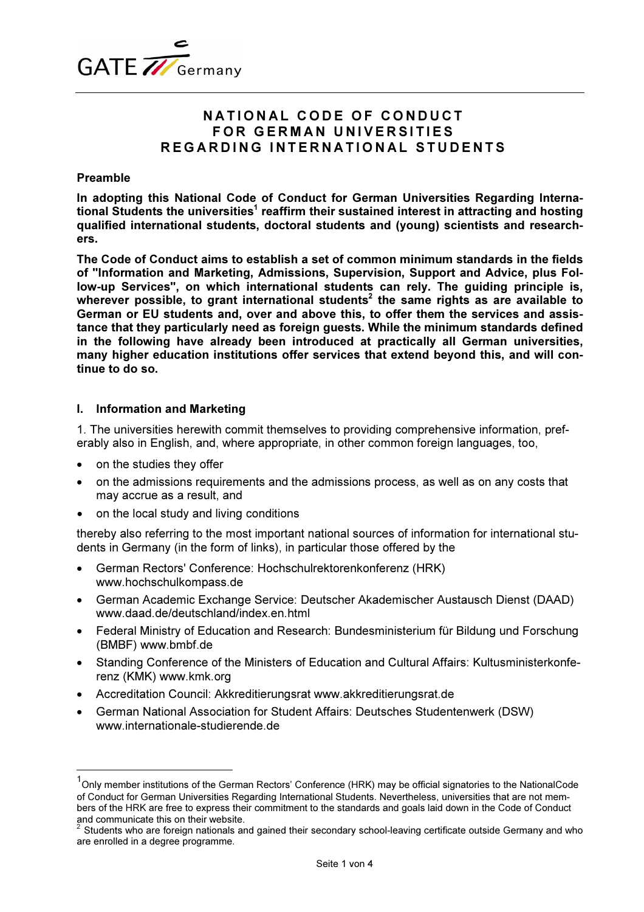

# NATIONAL CODE OF CONDUCT FOR GERMAN UNIVERSITIES REGARDING INTERNATIONAL STUDENTS

## Preamble

In adopting this National Code of Conduct for German Universities Regarding International Students the universities<sup>1</sup> reaffirm their sustained interest in attracting and hosting qualified international students, doctoral students and (young) scientists and researchers.

The Code of Conduct aims to establish a set of common minimum standards in the fields of "Information and Marketing, Admissions, Supervision, Support and Advice, plus Follow-up Services", on which international students can rely. The guiding principle is, wherever possible, to grant international students<sup>2</sup> the same rights as are available to German or EU students and, over and above this, to offer them the services and assistance that they particularly need as foreign guests. While the minimum standards defined in the following have already been introduced at practically all German universities, many higher education institutions offer services that extend beyond this, and will continue to do so.

## I. Information and Marketing

1. The universities herewith commit themselves to providing comprehensive information, preferably also in English, and, where appropriate, in other common foreign languages, too,

on the studies they offer

 $\overline{a}$ 

- on the admissions requirements and the admissions process, as well as on any costs that may accrue as a result, and
- on the local study and living conditions

thereby also referring to the most important national sources of information for international students in Germany (in the form of links), in particular those offered by the

- German Rectors' Conference: Hochschulrektorenkonferenz (HRK) www.hochschulkompass.de
- German Academic Exchange Service: Deutscher Akademischer Austausch Dienst (DAAD) www.daad.de/deutschland/index.en.html
- Federal Ministry of Education and Research: Bundesministerium für Bildung und Forschung (BMBF) www.bmbf.de
- Standing Conference of the Ministers of Education and Cultural Affairs: Kultusministerkonferenz (KMK) www.kmk.org
- Accreditation Council: Akkreditierungsrat www.akkreditierungsrat.de
- German National Association for Student Affairs: Deutsches Studentenwerk (DSW) www.internationale-studierende.de

 $^{\mathsf{1}}$ Only member institutions of the German Rectors' Conference (HRK) may be official signatories to the NationalCode of Conduct for German Universities Regarding International Students. Nevertheless, universities that are not members of the HRK are free to express their commitment to the standards and goals laid down in the Code of Conduct and communicate this on their website

Students who are foreign nationals and gained their secondary school-leaving certificate outside Germany and who are enrolled in a degree programme.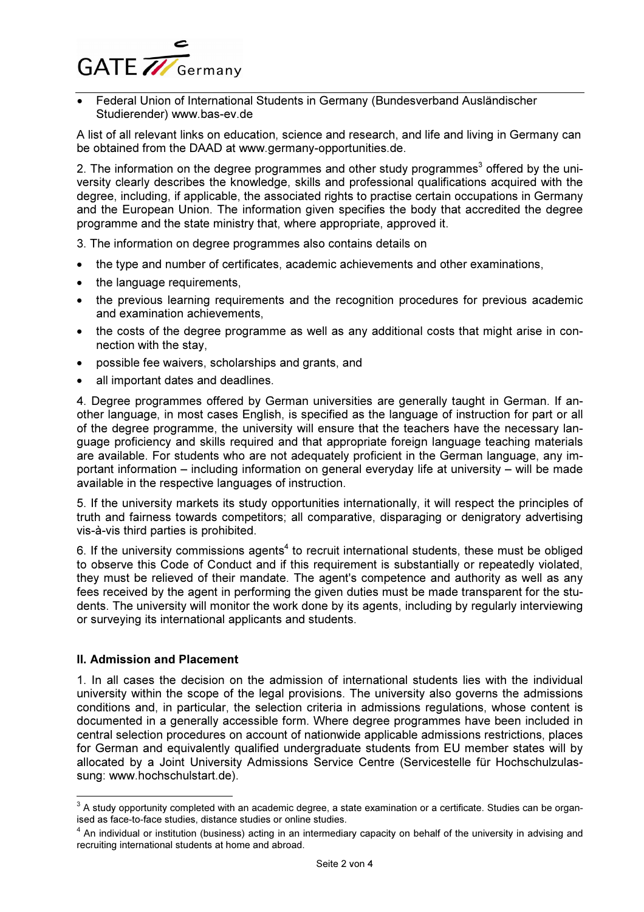

Federal Union of International Students in Germany (Bundesverband Ausländischer Studierender) www.bas-ev.de

A list of all relevant links on education, science and research, and life and living in Germany can be obtained from the DAAD at www.germany-opportunities.de.

2. The information on the degree programmes and other study programmes<sup>3</sup> offered by the university clearly describes the knowledge, skills and professional qualifications acquired with the degree, including, if applicable, the associated rights to practise certain occupations in Germany and the European Union. The information given specifies the body that accredited the degree programme and the state ministry that, where appropriate, approved it.

3. The information on degree programmes also contains details on

- the type and number of certificates, academic achievements and other examinations,
- the language requirements,
- the previous learning requirements and the recognition procedures for previous academic and examination achievements,
- the costs of the degree programme as well as any additional costs that might arise in connection with the stay,
- possible fee waivers, scholarships and grants, and
- all important dates and deadlines.

4. Degree programmes offered by German universities are generally taught in German. If another language, in most cases English , is specified as the language of instruction for part or all of the degree programme, the university will ensure that the teachers have the necessary language proficiency and skills required and that appropriate foreign language teaching materials are available. For students who are not adequately proficient in the German language, any important information – including information on general everyday life at university – will be made available in the respective languages of instruction.

5. If the university markets its study opportunities internationally, it will respect the principles of truth and fairness towards competitors; all comparative, disparaging or denigratory advertising vis-à-vis third parties is prohibited.

6. If the university commissions agents<sup>4</sup> to recruit international students, these must be obliged to observe this Code of Conduct and if this requirement is substantially or repeatedly violated, they must be relieved of their mandate. The agent's competence and authority as well as any fees received by the agent in performing the given duties must be made transparent for the students. The university will monitor the work done by its agents, including by regularly interviewing or surveying its international applicants and students.

#### **II. Admission and Placement**

 $\overline{a}$ 

1. In all cases the decision on the admission of international students lies with the individual university within the scope of the legal provisions. The university also governs the admissions conditions and, in particular, the selection criteria in admissions regulations, whose content is documented in a generally accessible form. Where degree programmes have been included in central selection procedures on account of nationwide applicable admissions restrictions, places for German and equivalently qualified undergraduate students from EU member states will by allocated by a Joint University Admissions Service Centre (Servicestelle für Hochschulzulassung: www.hochschulstart.de).

 $^3$  A study opportunity completed with an academic degree, a state examination or a certificate. Studies can be organised as face-to-face studies, distance studies or online studies.

 $^4$  An individual or institution (business) acting in an intermediary capacity on behalf of the university in advising and recruiting international students at home and abroad.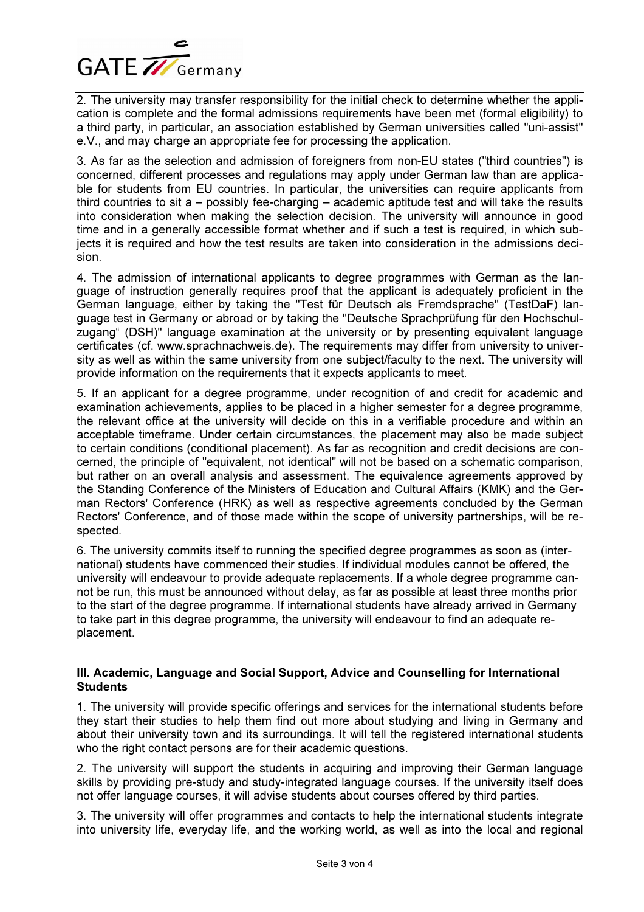

2. The university may transfer responsibility for the initial check to determine whether the application is complete and the formal admissions requirements have been met (formal eligibility) to a third party, in particular, an association established by German universities called "uni-assist" e.V., and may charge an appropriate fee for processing the application.

3. As far as the selection and admission of foreigners from non-EU states ("third countries") is concerned, different processes and regulations may apply under German law than are applicable for students from EU countries. In particular, the universities can require applicants from third countries to sit  $a -$  possibly fee-charging  $-$  academic aptitude test and will take the results into consideration when making the selection decision. The university will announce in good time and in a generally accessible format whether and if such a test is required, in which subjects it is required and how the test results are taken into consideration in the admissions decision.

4. The admission of international applicants to degree programmes with German as the language of instruction generally requires proof that the applicant is adequately proficient in the German language, either by taking the "Test für Deutsch als Fremdsprache" (TestDaF) language test in Germany or abroad or by taking the "Deutsche Sprachprüfung für den Hochschulzugang" (DSH)" language examination at the university or by presenting equivalent language certificates (cf. www.sprachnachweis.de). The requirements may differ from university to university as well as within the same university from one subject/faculty to the next. The university will provide information on the requirements that it expects applicants to meet.

5. If an applicant for a degree programme, under recognition of and credit for academic and examination achievements, applies to be placed in a higher semester for a degree programme, the relevant office at the university will decide on this in a verifiable procedure and within an acceptable timeframe. Under certain circumstances, the placement may also be made subject to certain conditions (conditional placement). As far as recognition and credit decisions are concerned, the principle of "equivalent, not identical" will not be based on a schematic comparison, but rather on an overall analysis and assessment. The equivalence agreements approved by the Standing Conference of the Ministers of Education and Cultural Affairs (KMK) and the German Rectors' Conference (HRK) as well as respective agreements concluded by the German Rectors' Conference, and of those made within the scope of university partnerships, will be respected.

6. The university commits itself to running the specified degree programmes as soon as (international) students have commenced their studies. If individual modules cannot be offered, the university will endeavour to provide adequate replacements. I f a whole degree programme cannot be run, this must be announced without delay, as far as possible at least three months prior to the start of the degree programme. If international students have already arrived in Germany to take part in this degree programme, the university will endeavour to find an adequate replacement.

## III. Academic, Language and Social Support, Advice and Counselling for International **Students**

1. The university will provide specific offerings and services for the international students before they start their studies to help them find out more about studying and living in Germany and about their university town and its surroundings. It will tell the registered international students who the right contact persons are for their academic questions.

2. The university will support the students in acquiring and improving their German language skills by providing pre-study and study-integrated language courses. If the university itself does not offer language courses, it will advise students about courses offered by third parties.

3. The university will offer programmes and contacts to help the international students integrate into university life, everyday life, and the working world, as well as into the local and regional